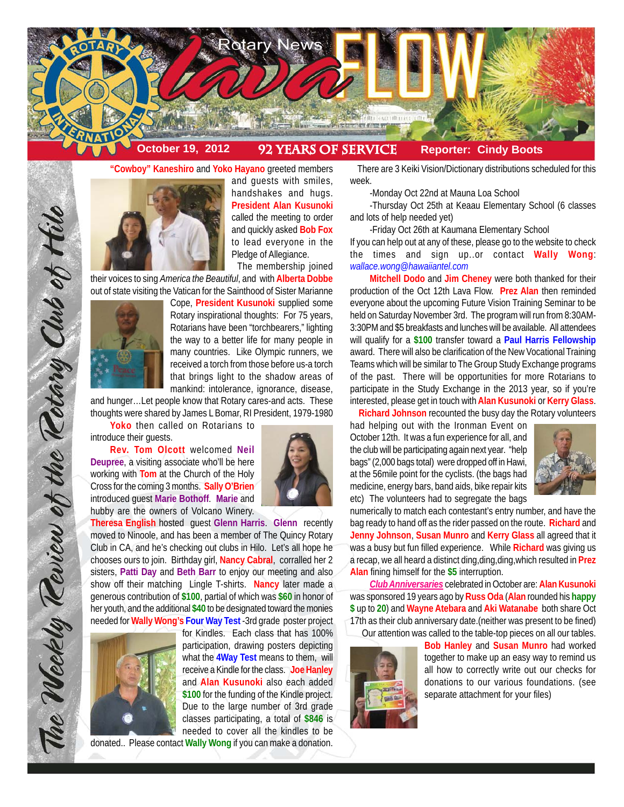

## **"Cowboy" Kaneshiro** and **Yoko Hayano** greeted members



and guests with smiles, handshakes and hugs. **President Alan Kusunoki** called the meeting to order and quickly asked **Bob Fox** to lead everyone in the Pledge of Allegiance.

The membership joined their voices to sing *America the Beautiful*, and with **Alberta Dobbe** out of state visiting the Vatican for the Sainthood of Sister Marianne



The Weekly Teview of the Tetary Club of Hilo

Cope, **President Kusunoki** supplied some Rotary inspirational thoughts: For 75 years, Rotarians have been "torchbearers," lighting the way to a better life for many people in many countries. Like Olympic runners, we received a torch from those before us-a torch that brings light to the shadow areas of mankind: intolerance, ignorance, disease,

and hunger…Let people know that Rotary cares-and acts. These thoughts were shared by James L Bomar, RI President, 1979-1980

**Yoko** then called on Rotarians to introduce their guests.

**Rev. Tom Olcott** welcomed **Neil Deupree**, a visiting associate who'll be here working with **Tom** at the Church of the Holy Cross for the coming 3 months. **Sally O'Brien** introduced guest **Marie Bothoff**. **Marie** and hubby are the owners of Volcano Winery.



**Theresa English** hosted guest **Glenn Harris**. **Glenn** recently moved to Ninoole, and has been a member of The Quincy Rotary Club in CA, and he's checking out clubs in Hilo. Let's all hope he chooses ours to join. Birthday girl, **Nancy Cabral**, corralled her 2 sisters, **Patti Day** and **Beth Barr** to enjoy our meeting and also show off their matching Lingle T-shirts. **Nancy** later made a generous contribution of **\$100**, partial of which was **\$60** in honor of her youth, and the additional **\$40** to be designated toward the monies needed for **Wally Wong's Four Way Test** -3rd grade poster project



for Kindles. Each class that has 100% participation, drawing posters depicting what the **4Way Test** means to them, will receive a Kindle for the class. **Joe Hanley** and **Alan Kusunoki** also each added **\$100** for the funding of the Kindle project. Due to the large number of 3rd grade classes participating, a total of **\$846** is needed to cover all the kindles to be donated.. Please contact **Wally Wong** if you can make a donation.

 There are 3 Keiki Vision/Dictionary distributions scheduled for this week.

-Monday Oct 22nd at Mauna Loa School

-Thursday Oct 25th at Keaau Elementary School (6 classes and lots of help needed yet)

-Friday Oct 26th at Kaumana Elementary School

If you can help out at any of these, please go to the website to check the times and sign up..or contact **Wally Wong**: *wallace.wong@hawaiiantel.com*

**Mitchell Dodo** and **Jim Cheney** were both thanked for their production of the Oct 12th Lava Flow. **Prez Alan** then reminded everyone about the upcoming Future Vision Training Seminar to be held on Saturday November 3rd. The program will run from 8:30AM-3:30PM and \$5 breakfasts and lunches will be available. All attendees will qualify for a **\$100** transfer toward a **Paul Harris Fellowship** award. There will also be clarification of the New Vocational Training Teams which will be similar to The Group Study Exchange programs of the past. There will be opportunities for more Rotarians to participate in the Study Exchange in the 2013 year, so if you're interested, please get in touch with **Alan Kusunoki** or **Kerry Glass**.

**Richard Johnson** recounted the busy day the Rotary volunteers

had helping out with the Ironman Event on October 12th. It was a fun experience for all, and the club will be participating again next year. "help bags" (2,000 bags total) were dropped off in Hawi, at the 56mile point for the cyclists. (the bags had medicine, energy bars, band aids, bike repair kits etc) The volunteers had to segregate the bags



numerically to match each contestant's entry number, and have the bag ready to hand off as the rider passed on the route. **Richard** and **Jenny Johnson**, **Susan Munro** and **Kerry Glass** all agreed that it was a busy but fun filled experience. While **Richard** was giving us a recap, we all heard a distinct ding,ding,ding,which resulted in **Prez Alan** fining himself for the **\$5** interruption.

*Club Anniversaries* celebrated in October are: **Alan Kusunoki** was sponsored 19 years ago by **Russ Oda** (**Alan** rounded his **happy \$** up to **20**) and **Wayne Atebara** and **Aki Watanabe** both share Oct 17th as their club anniversary date.(neither was present to be fined) Our attention was called to the table-top pieces on all our tables.



**Bob Hanley** and **Susan Munro** had worked together to make up an easy way to remind us all how to correctly write out our checks for donations to our various foundations. (see separate attachment for your files)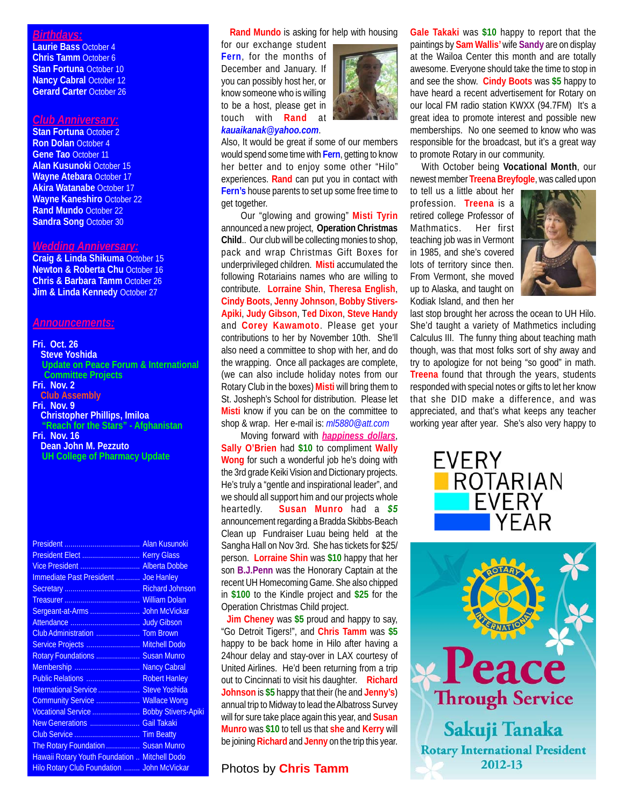### *Birthdays:*

**Laurie Bass** October 4 **Chris Tamm** October 6 **Stan Fortuna** October 10 **Nancy Cabral October 12 Gerard Carter** October 26

#### *Club Anniversary:*

**Stan Fortuna** October 2 **Ron Dolan** October 4 **Gene Tao** October 11 **Alan Kusunoki** October 15 **Wayne Atebara** October 17 **Akira Watanabe** October 17 **Wayne Kaneshiro** October 22 **Rand Mundo** October 22 **Sandra Song** October 30

## *Wedding Anniversary:*

**Craig & Linda Shikuma** October 15 **Newton & Roberta Chu** October 16 **Chris & Barbara Tamm** October 26 **Jim & Linda Kennedy October 27** 

#### *Announcements:*

# **Fri. Oct. 26**

**Steve Yoshida Update on Peace Forum & International Committee Projects**

- **Fri. Nov. 2**
- **Club Assembly Fri. Nov. 9 Christopher Phillips, Imiloa "Reach for the Stars" - Afghanistan**
- **Fri. Nov. 16 Dean John M. Pezzuto UH College of Pharmacy Update**

| Vice President  Alberta Dobbe                 |  |
|-----------------------------------------------|--|
| Immediate Past President  Joe Hanley          |  |
|                                               |  |
|                                               |  |
|                                               |  |
|                                               |  |
|                                               |  |
| Service Projects  Mitchell Dodo               |  |
| Rotary Foundations  Susan Munro               |  |
| Membership  Nancy Cabral                      |  |
| Public Relations  Robert Hanley               |  |
| International Service  Steve Yoshida          |  |
| Community Service  Wallace Wong               |  |
| Vocational Service  Bobby Stivers-Apiki       |  |
| New Generations  Gail Takaki                  |  |
|                                               |  |
| The Rotary Foundation  Susan Munro            |  |
| Hawaii Rotary Youth Foundation  Mitchell Dodo |  |
| Hilo Rotary Club Foundation  John McVickar    |  |

### **Rand Mundo** is asking for help with housing

for our exchange student **Fern**, for the months of December and January. If you can possibly host her, or know someone who is willing to be a host, please get in touch with **Rand** at *kauaikanak@yahoo.com*.



Also, It would be great if some of our members would spend some time with **Fern**, getting to know her better and to enjoy some other "Hilo" experiences. **Rand** can put you in contact with **Fern's** house parents to set up some free time to get together.

Our "glowing and growing" **Misti Tyrin** announced a new project, **Operation Christmas Child**.. Our club will be collecting monies to shop, pack and wrap Christmas Gift Boxes for underprivileged children. **Misti** accumulated the following Rotariains names who are willing to contribute. **Lorraine Shin**, **Theresa English**, **Cindy Boots**, **Jenny Johnson**, **Bobby Stivers-Apiki**, **Judy Gibson**, T**ed Dixon**, **Steve Handy** and **Corey Kawamoto**. Please get your contributions to her by November 10th. She'll also need a committee to shop with her, and do the wrapping. Once all packages are complete, (we can also include holiday notes from our Rotary Club in the boxes) **Misti** will bring them to St. Josheph's School for distribution. Please let **Misti** know if you can be on the committee to shop & wrap. Her e-mail is: *ml5880@att.com*

Moving forward with *happiness dollars*, **Sally O'Brien** had **\$10** to compliment **Wally Wong** for such a wonderful job he's doing with the 3rd grade Keiki Vision and Dictionary projects. He's truly a "gentle and inspirational leader", and we should all support him and our projects whole heartedly. **Susan Munro** had a *\$5* announcement regarding a Bradda Skibbs-Beach Clean up Fundraiser Luau being held at the Sangha Hall on Nov 3rd. She has tickets for \$25/ person. **Lorraine Shin** was **\$10** happy that her son **B.J.Penn** was the Honorary Captain at the recent UH Homecoming Game. She also chipped in **\$100** to the Kindle project and **\$25** for the Operation Christmas Child project.

 **Jim Cheney** was **\$5** proud and happy to say, "Go Detroit Tigers!", and **Chris Tamm** was **\$5** happy to be back home in Hilo after having a 24hour delay and stay-over in LAX courtesy of United Airlines. He'd been returning from a trip out to Cincinnati to visit his daughter. **Richard Johnson** is **\$5** happy that their (he and **Jenny's**) annual trip to Midway to lead the Albatross Survey will for sure take place again this year, and **Susan Munro** was **\$10** to tell us that **she** and **Kerry** will be joining **Richard** and **Jenny** on the trip this year.

## Photos by **Chris Tamm**

**Gale Takaki** was **\$10** happy to report that the paintings by **Sam Wallis'** wife **Sandy** are on display at the Wailoa Center this month and are totally awesome. Everyone should take the time to stop in and see the show. **Cindy Boots** was **\$5** happy to have heard a recent advertisement for Rotary on our local FM radio station KWXX (94.7FM) It's a great idea to promote interest and possible new memberships. No one seemed to know who was responsible for the broadcast, but it's a great way to promote Rotary in our community.

 With October being **Vocational Month**, our newest member **Treena Breyfogle**, was called upon

to tell us a little about her profession. **Treena** is a retired college Professor of Mathmatics. Her first teaching job was in Vermont in 1985, and she's covered lots of territory since then. From Vermont, she moved up to Alaska, and taught on Kodiak Island, and then her



last stop brought her across the ocean to UH Hilo. She'd taught a variety of Mathmetics including Calculus III. The funny thing about teaching math though, was that most folks sort of shy away and try to apologize for not being "so good" in math. **Treena** found that through the years, students responded with special notes or gifts to let her know that she DID make a difference, and was appreciated, and that's what keeps any teacher working year after year. She's also very happy to



eace **Through Service** Sakuji Tanaka **Rotary International President** 2012-13